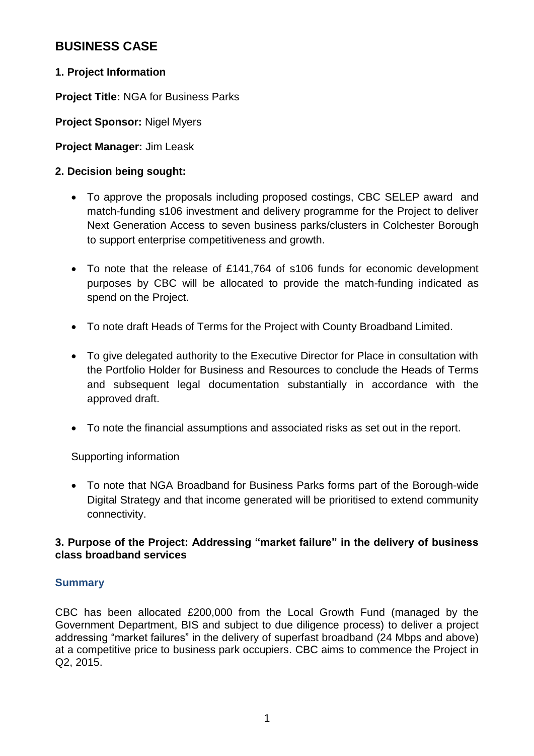# **BUSINESS CASE**

# **1. Project Information**

**Project Title:** NGA for Business Parks

**Project Sponsor:** Nigel Myers

**Project Manager:** Jim Leask

# **2. Decision being sought:**

- To approve the proposals including proposed costings, CBC SELEP award and match-funding s106 investment and delivery programme for the Project to deliver Next Generation Access to seven business parks/clusters in Colchester Borough to support enterprise competitiveness and growth.
- To note that the release of £141,764 of s106 funds for economic development purposes by CBC will be allocated to provide the match-funding indicated as spend on the Project.
- To note draft Heads of Terms for the Project with County Broadband Limited.
- To give delegated authority to the Executive Director for Place in consultation with the Portfolio Holder for Business and Resources to conclude the Heads of Terms and subsequent legal documentation substantially in accordance with the approved draft.
- To note the financial assumptions and associated risks as set out in the report.

Supporting information

 To note that NGA Broadband for Business Parks forms part of the Borough-wide Digital Strategy and that income generated will be prioritised to extend community connectivity.

# **3. Purpose of the Project: Addressing "market failure" in the delivery of business class broadband services**

# **Summary**

CBC has been allocated £200,000 from the Local Growth Fund (managed by the Government Department, BIS and subject to due diligence process) to deliver a project addressing "market failures" in the delivery of superfast broadband (24 Mbps and above) at a competitive price to business park occupiers. CBC aims to commence the Project in Q2, 2015.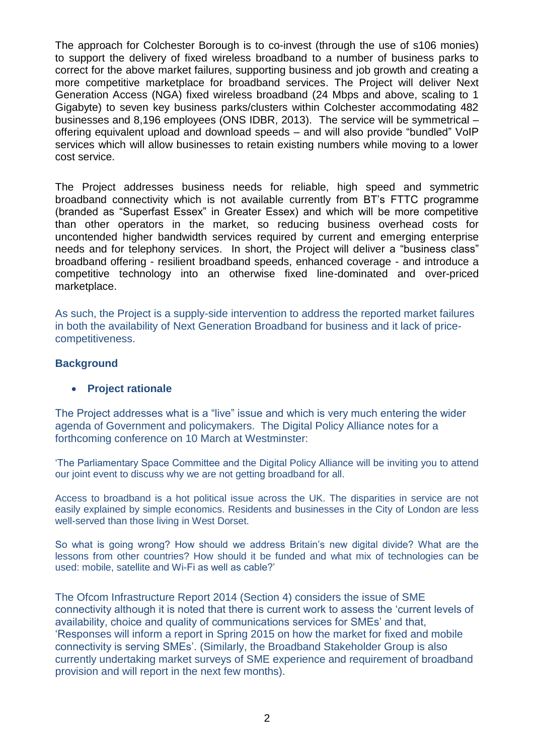The approach for Colchester Borough is to co-invest (through the use of s106 monies) to support the delivery of fixed wireless broadband to a number of business parks to correct for the above market failures, supporting business and job growth and creating a more competitive marketplace for broadband services. The Project will deliver Next Generation Access (NGA) fixed wireless broadband (24 Mbps and above, scaling to 1 Gigabyte) to seven key business parks/clusters within Colchester accommodating 482 businesses and 8,196 employees (ONS IDBR, 2013). The service will be symmetrical – offering equivalent upload and download speeds – and will also provide "bundled" VoIP services which will allow businesses to retain existing numbers while moving to a lower cost service.

The Project addresses business needs for reliable, high speed and symmetric broadband connectivity which is not available currently from BT's FTTC programme (branded as "Superfast Essex" in Greater Essex) and which will be more competitive than other operators in the market, so reducing business overhead costs for uncontended higher bandwidth services required by current and emerging enterprise needs and for telephony services. In short, the Project will deliver a "business class" broadband offering - resilient broadband speeds, enhanced coverage - and introduce a competitive technology into an otherwise fixed line-dominated and over-priced marketplace.

As such, the Project is a supply-side intervention to address the reported market failures in both the availability of Next Generation Broadband for business and it lack of pricecompetitiveness.

## **Background**

## **Project rationale**

The Project addresses what is a "live" issue and which is very much entering the wider agenda of Government and policymakers. The Digital Policy Alliance notes for a forthcoming conference on 10 March at Westminster:

'The Parliamentary Space Committee and the Digital Policy Alliance will be inviting you to attend our joint event to discuss why we are not getting broadband for all.

Access to broadband is a hot political issue across the UK. The disparities in service are not easily explained by simple economics. Residents and businesses in the City of London are less well-served than those living in West Dorset.

So what is going wrong? How should we address Britain's new digital divide? What are the lessons from other countries? How should it be funded and what mix of technologies can be used: mobile, satellite and Wi-Fi as well as cable?'

The Ofcom Infrastructure Report 2014 (Section 4) considers the issue of SME connectivity although it is noted that there is current work to assess the 'current levels of availability, choice and quality of communications services for SMEs' and that, 'Responses will inform a report in Spring 2015 on how the market for fixed and mobile connectivity is serving SMEs'. (Similarly, the Broadband Stakeholder Group is also currently undertaking market surveys of SME experience and requirement of broadband provision and will report in the next few months).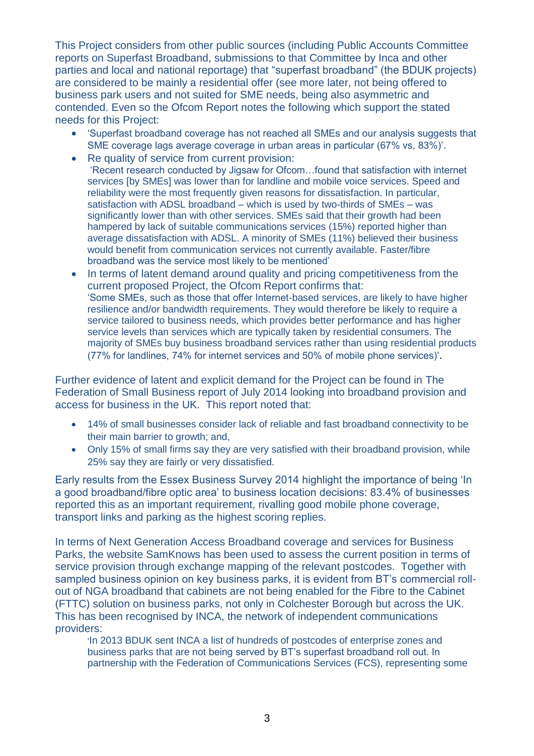This Project considers from other public sources (including Public Accounts Committee reports on Superfast Broadband, submissions to that Committee by Inca and other parties and local and national reportage) that "superfast broadband" (the BDUK projects) are considered to be mainly a residential offer (see more later, not being offered to business park users and not suited for SME needs, being also asymmetric and contended. Even so the Ofcom Report notes the following which support the stated needs for this Project:

- 'Superfast broadband coverage has not reached all SMEs and our analysis suggests that SME coverage lags average coverage in urban areas in particular (67% vs, 83%)'.
- Re quality of service from current provision: 'Recent research conducted by Jigsaw for Ofcom…found that satisfaction with internet services [by SMEs] was lower than for landline and mobile voice services. Speed and reliability were the most frequently given reasons for dissatisfaction. In particular, satisfaction with ADSL broadband – which is used by two-thirds of SMEs – was significantly lower than with other services. SMEs said that their growth had been hampered by lack of suitable communications services (15%) reported higher than average dissatisfaction with ADSL. A minority of SMEs (11%) believed their business would benefit from communication services not currently available. Faster/fibre broadband was the service most likely to be mentioned'
- In terms of latent demand around quality and pricing competitiveness from the current proposed Project, the Ofcom Report confirms that: 'Some SMEs, such as those that offer Internet-based services, are likely to have higher resilience and/or bandwidth requirements. They would therefore be likely to require a service tailored to business needs, which provides better performance and has higher service levels than services which are typically taken by residential consumers. The majority of SMEs buy business broadband services rather than using residential products (77% for landlines, 74% for internet services and 50% of mobile phone services)'.

Further evidence of latent and explicit demand for the Project can be found in The Federation of Small Business report of July 2014 looking into broadband provision and access for business in the UK. This report noted that:

- 14% of small businesses consider lack of reliable and fast broadband connectivity to be their main barrier to growth; and,
- Only 15% of small firms say they are very satisfied with their broadband provision, while 25% say they are fairly or very dissatisfied.

Early results from the Essex Business Survey 2014 highlight the importance of being 'In a good broadband/fibre optic area' to business location decisions: 83.4% of businesses reported this as an important requirement, rivalling good mobile phone coverage, transport links and parking as the highest scoring replies.

In terms of Next Generation Access Broadband coverage and services for Business Parks, the website SamKnows has been used to assess the current position in terms of service provision through exchange mapping of the relevant postcodes. Together with sampled business opinion on key business parks, it is evident from BT's commercial rollout of NGA broadband that cabinets are not being enabled for the Fibre to the Cabinet (FTTC) solution on business parks, not only in Colchester Borough but across the UK. This has been recognised by INCA, the network of independent communications providers:

'In 2013 BDUK sent INCA a list of hundreds of postcodes of enterprise zones and business parks that are not being served by BT's superfast broadband roll out. In partnership with the [Federation of Communications Services](http://www.fcs.org.uk/) (FCS), representing some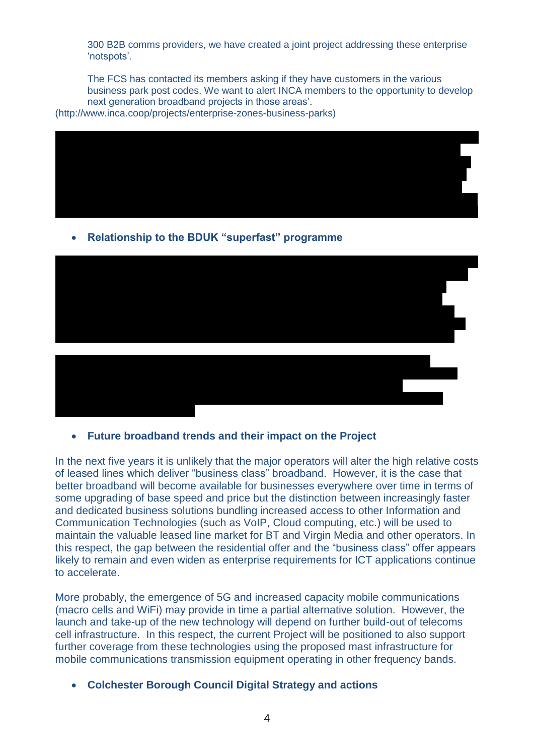300 B2B comms providers, we have created a joint project addressing these enterprise 'notspots'.

The FCS has contacted its members asking if they have customers in the various business park post codes. We want to alert INCA members to the opportunity to develop next generation broadband projects in those areas'.

[\(http://www.inca.coop/projects/enterprise-zones-business-parks\)](http://www.inca.coop/projects/enterprise-zones-business-parks)



**Relationship to the BDUK "superfast" programme**



**Future broadband trends and their impact on the Project**

In the next five years it is unlikely that the major operators will alter the high relative costs of leased lines which deliver "business class" broadband. However, it is the case that better broadband will become available for businesses everywhere over time in terms of some upgrading of base speed and price but the distinction between increasingly faster and dedicated business solutions bundling increased access to other Information and Communication Technologies (such as VoIP, Cloud computing, etc.) will be used to maintain the valuable leased line market for BT and Virgin Media and other operators. In this respect, the gap between the residential offer and the "business class" offer appears likely to remain and even widen as enterprise requirements for ICT applications continue to accelerate.

More probably, the emergence of 5G and increased capacity mobile communications (macro cells and WiFi) may provide in time a partial alternative solution. However, the launch and take-up of the new technology will depend on further build-out of telecoms cell infrastructure. In this respect, the current Project will be positioned to also support further coverage from these technologies using the proposed mast infrastructure for mobile communications transmission equipment operating in other frequency bands.

**Colchester Borough Council Digital Strategy and actions**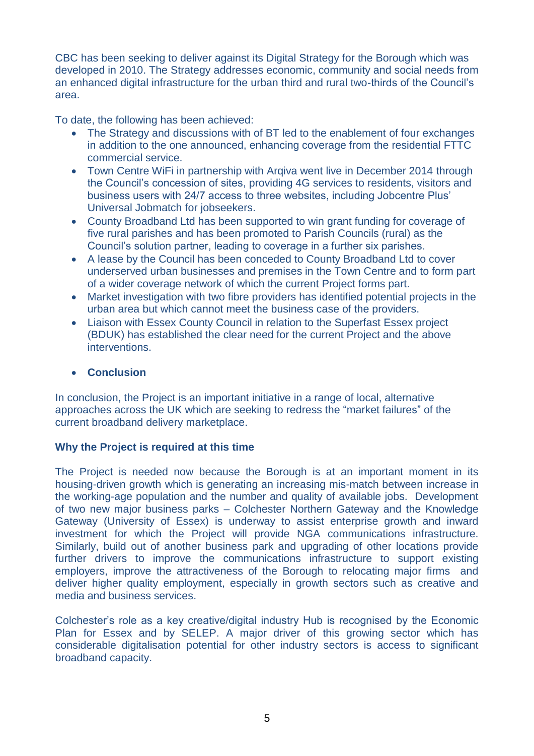CBC has been seeking to deliver against its Digital Strategy for the Borough which was developed in 2010. The Strategy addresses economic, community and social needs from an enhanced digital infrastructure for the urban third and rural two-thirds of the Council's area.

To date, the following has been achieved:

- The Strategy and discussions with of BT led to the enablement of four exchanges in addition to the one announced, enhancing coverage from the residential FTTC commercial service.
- Town Centre WiFi in partnership with Arqiva went live in December 2014 through the Council's concession of sites, providing 4G services to residents, visitors and business users with 24/7 access to three websites, including Jobcentre Plus' Universal Jobmatch for jobseekers.
- County Broadband Ltd has been supported to win grant funding for coverage of five rural parishes and has been promoted to Parish Councils (rural) as the Council's solution partner, leading to coverage in a further six parishes.
- A lease by the Council has been conceded to County Broadband Ltd to cover underserved urban businesses and premises in the Town Centre and to form part of a wider coverage network of which the current Project forms part.
- Market investigation with two fibre providers has identified potential projects in the urban area but which cannot meet the business case of the providers.
- Liaison with Essex County Council in relation to the Superfast Essex project (BDUK) has established the clear need for the current Project and the above interventions.

## **Conclusion**

In conclusion, the Project is an important initiative in a range of local, alternative approaches across the UK which are seeking to redress the "market failures" of the current broadband delivery marketplace.

## **Why the Project is required at this time**

The Project is needed now because the Borough is at an important moment in its housing-driven growth which is generating an increasing mis-match between increase in the working-age population and the number and quality of available jobs. Development of two new major business parks – Colchester Northern Gateway and the Knowledge Gateway (University of Essex) is underway to assist enterprise growth and inward investment for which the Project will provide NGA communications infrastructure. Similarly, build out of another business park and upgrading of other locations provide further drivers to improve the communications infrastructure to support existing employers, improve the attractiveness of the Borough to relocating major firms and deliver higher quality employment, especially in growth sectors such as creative and media and business services.

Colchester's role as a key creative/digital industry Hub is recognised by the Economic Plan for Essex and by SELEP. A major driver of this growing sector which has considerable digitalisation potential for other industry sectors is access to significant broadband capacity.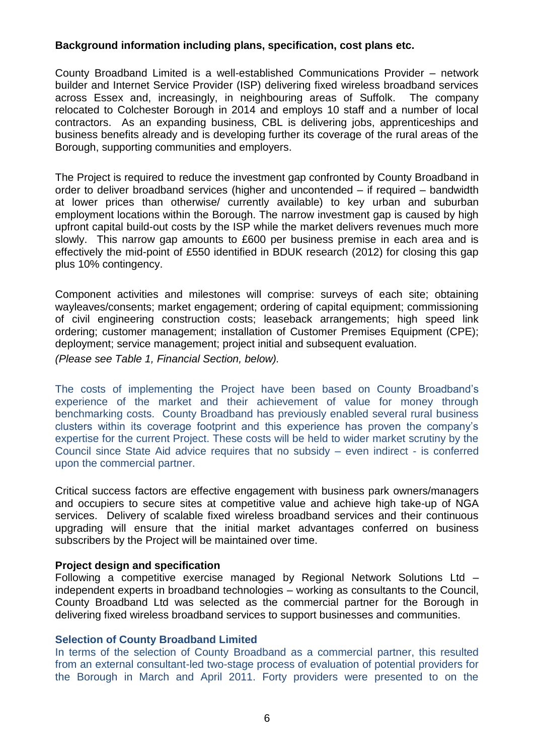## **Background information including plans, specification, cost plans etc.**

County Broadband Limited is a well-established Communications Provider – network builder and Internet Service Provider (ISP) delivering fixed wireless broadband services across Essex and, increasingly, in neighbouring areas of Suffolk. The company relocated to Colchester Borough in 2014 and employs 10 staff and a number of local contractors. As an expanding business, CBL is delivering jobs, apprenticeships and business benefits already and is developing further its coverage of the rural areas of the Borough, supporting communities and employers.

The Project is required to reduce the investment gap confronted by County Broadband in order to deliver broadband services (higher and uncontended – if required – bandwidth at lower prices than otherwise/ currently available) to key urban and suburban employment locations within the Borough. The narrow investment gap is caused by high upfront capital build-out costs by the ISP while the market delivers revenues much more slowly. This narrow gap amounts to £600 per business premise in each area and is effectively the mid-point of £550 identified in BDUK research (2012) for closing this gap plus 10% contingency.

Component activities and milestones will comprise: surveys of each site; obtaining wayleaves/consents; market engagement; ordering of capital equipment; commissioning of civil engineering construction costs; leaseback arrangements; high speed link ordering; customer management; installation of Customer Premises Equipment (CPE); deployment; service management; project initial and subsequent evaluation.

*(Please see Table 1, Financial Section, below).*

The costs of implementing the Project have been based on County Broadband's experience of the market and their achievement of value for money through benchmarking costs. County Broadband has previously enabled several rural business clusters within its coverage footprint and this experience has proven the company's expertise for the current Project. These costs will be held to wider market scrutiny by the Council since State Aid advice requires that no subsidy – even indirect - is conferred upon the commercial partner.

Critical success factors are effective engagement with business park owners/managers and occupiers to secure sites at competitive value and achieve high take-up of NGA services. Delivery of scalable fixed wireless broadband services and their continuous upgrading will ensure that the initial market advantages conferred on business subscribers by the Project will be maintained over time.

## **Project design and specification**

Following a competitive exercise managed by Regional Network Solutions Ltd – independent experts in broadband technologies – working as consultants to the Council, County Broadband Ltd was selected as the commercial partner for the Borough in delivering fixed wireless broadband services to support businesses and communities.

## **Selection of County Broadband Limited**

In terms of the selection of County Broadband as a commercial partner, this resulted from an external consultant-led two-stage process of evaluation of potential providers for the Borough in March and April 2011. Forty providers were presented to on the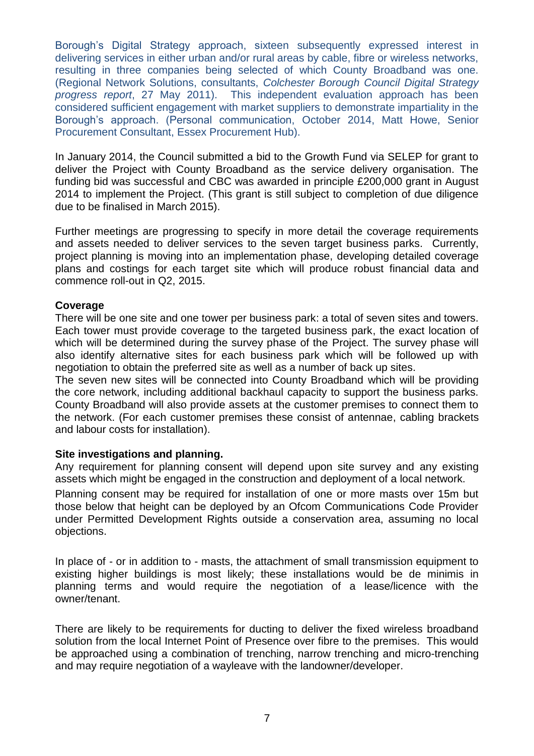Borough's Digital Strategy approach, sixteen subsequently expressed interest in delivering services in either urban and/or rural areas by cable, fibre or wireless networks, resulting in three companies being selected of which County Broadband was one. (Regional Network Solutions, consultants, *Colchester Borough Council Digital Strategy progress report*, 27 May 2011). This independent evaluation approach has been considered sufficient engagement with market suppliers to demonstrate impartiality in the Borough's approach. (Personal communication, October 2014, Matt Howe, Senior Procurement Consultant, Essex Procurement Hub).

In January 2014, the Council submitted a bid to the Growth Fund via SELEP for grant to deliver the Project with County Broadband as the service delivery organisation. The funding bid was successful and CBC was awarded in principle £200,000 grant in August 2014 to implement the Project. (This grant is still subject to completion of due diligence due to be finalised in March 2015).

Further meetings are progressing to specify in more detail the coverage requirements and assets needed to deliver services to the seven target business parks. Currently, project planning is moving into an implementation phase, developing detailed coverage plans and costings for each target site which will produce robust financial data and commence roll-out in Q2, 2015.

### **Coverage**

There will be one site and one tower per business park: a total of seven sites and towers. Each tower must provide coverage to the targeted business park, the exact location of which will be determined during the survey phase of the Project. The survey phase will also identify alternative sites for each business park which will be followed up with negotiation to obtain the preferred site as well as a number of back up sites.

The seven new sites will be connected into County Broadband which will be providing the core network, including additional backhaul capacity to support the business parks. County Broadband will also provide assets at the customer premises to connect them to the network. (For each customer premises these consist of antennae, cabling brackets and labour costs for installation).

### **Site investigations and planning.**

Any requirement for planning consent will depend upon site survey and any existing assets which might be engaged in the construction and deployment of a local network.

Planning consent may be required for installation of one or more masts over 15m but those below that height can be deployed by an Ofcom Communications Code Provider under Permitted Development Rights outside a conservation area, assuming no local objections.

In place of - or in addition to - masts, the attachment of small transmission equipment to existing higher buildings is most likely; these installations would be de minimis in planning terms and would require the negotiation of a lease/licence with the owner/tenant.

There are likely to be requirements for ducting to deliver the fixed wireless broadband solution from the local Internet Point of Presence over fibre to the premises. This would be approached using a combination of trenching, narrow trenching and micro-trenching and may require negotiation of a wayleave with the landowner/developer.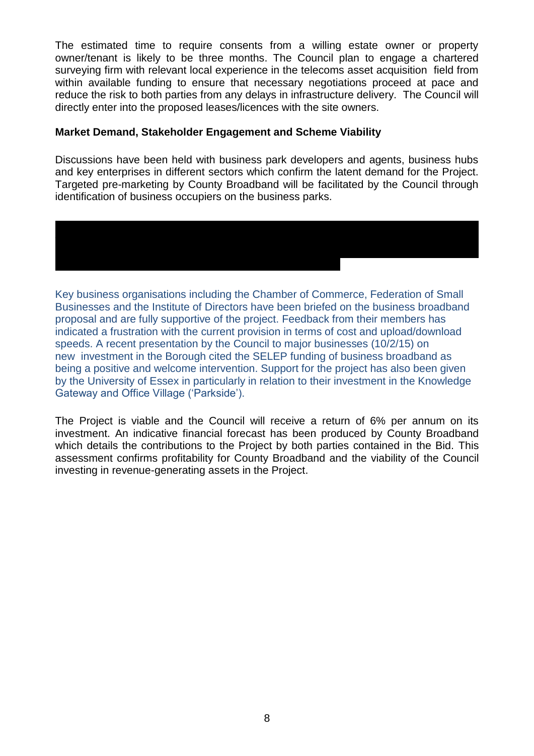The estimated time to require consents from a willing estate owner or property owner/tenant is likely to be three months. The Council plan to engage a chartered surveying firm with relevant local experience in the telecoms asset acquisition field from within available funding to ensure that necessary negotiations proceed at pace and reduce the risk to both parties from any delays in infrastructure delivery. The Council will directly enter into the proposed leases/licences with the site owners.

## **Market Demand, Stakeholder Engagement and Scheme Viability**

network between the exchange and the customer premises.

Discussions have been held with business park developers and agents, business hubs and key enterprises in different sectors which confirm the latent demand for the Project. Targeted pre-marketing by County Broadband will be facilitated by the Council through identification of business occupiers on the business parks.

Mapping of Virgin Media services reveals the absence of their cabling on key parks and the operator has no plans to extend their network footprint to the target areas. VM's

Key business organisations including the Chamber of Commerce, Federation of Small Businesses and the Institute of Directors have been briefed on the business broadband proposal and are fully supportive of the project. Feedback from their members has indicated a frustration with the current provision in terms of cost and upload/download speeds. A recent presentation by the Council to major businesses (10/2/15) on new investment in the Borough cited the SELEP funding of business broadband as being a positive and welcome intervention. Support for the project has also been given by the University of Essex in particularly in relation to their investment in the Knowledge Gateway and Office Village ('Parkside').

The Project is viable and the Council will receive a return of 6% per annum on its investment. An indicative financial forecast has been produced by County Broadband which details the contributions to the Project by both parties contained in the Bid. This assessment confirms profitability for County Broadband and the viability of the Council investing in revenue-generating assets in the Project.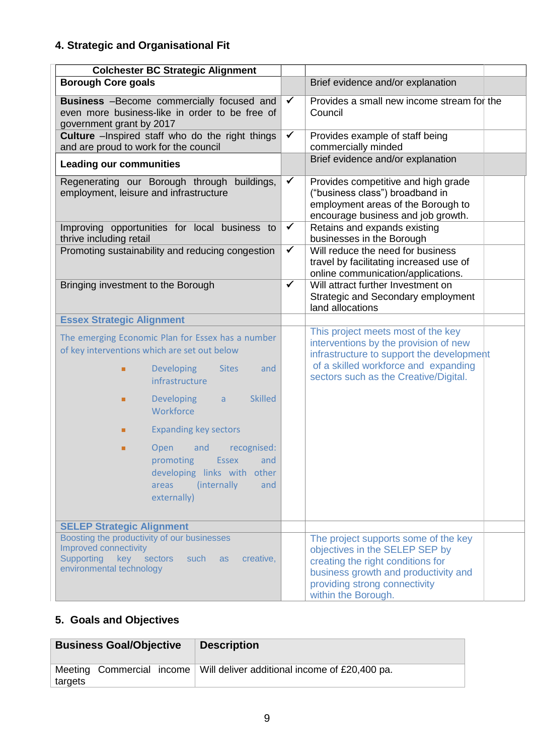# **4. Strategic and Organisational Fit**

| <b>Colchester BC Strategic Alignment</b>                                                                                                                 |              |                                                                                                                                                                                                             |  |
|----------------------------------------------------------------------------------------------------------------------------------------------------------|--------------|-------------------------------------------------------------------------------------------------------------------------------------------------------------------------------------------------------------|--|
| <b>Borough Core goals</b>                                                                                                                                |              | Brief evidence and/or explanation                                                                                                                                                                           |  |
| <b>Business</b> -Become commercially focused and<br>even more business-like in order to be free of<br>government grant by 2017                           | $\checkmark$ | Provides a small new income stream for the<br>Council                                                                                                                                                       |  |
| <b>Culture</b> - Inspired staff who do the right things<br>and are proud to work for the council                                                         | $\checkmark$ | Provides example of staff being<br>commercially minded                                                                                                                                                      |  |
| <b>Leading our communities</b>                                                                                                                           |              | Brief evidence and/or explanation                                                                                                                                                                           |  |
| Regenerating our Borough through buildings,<br>employment, leisure and infrastructure                                                                    | $\checkmark$ | Provides competitive and high grade<br>("business class") broadband in<br>employment areas of the Borough to<br>encourage business and job growth.                                                          |  |
| Improving opportunities for local business to<br>thrive including retail                                                                                 | $\checkmark$ | Retains and expands existing<br>businesses in the Borough                                                                                                                                                   |  |
| Promoting sustainability and reducing congestion                                                                                                         | $\checkmark$ | Will reduce the need for business<br>travel by facilitating increased use of<br>online communication/applications.                                                                                          |  |
| Bringing investment to the Borough                                                                                                                       | $\checkmark$ | Will attract further Investment on<br>Strategic and Secondary employment<br>land allocations                                                                                                                |  |
| <b>Essex Strategic Alignment</b>                                                                                                                         |              |                                                                                                                                                                                                             |  |
| The emerging Economic Plan for Essex has a number<br>of key interventions which are set out below                                                        |              | This project meets most of the key<br>interventions by the provision of new<br>infrastructure to support the development                                                                                    |  |
| Developing<br><b>Sites</b><br>and<br>٠<br>infrastructure                                                                                                 |              | of a skilled workforce and expanding<br>sectors such as the Creative/Digital.                                                                                                                               |  |
| <b>Skilled</b><br><b>Developing</b><br>a<br>٠<br>Workforce                                                                                               |              |                                                                                                                                                                                                             |  |
| <b>Expanding key sectors</b><br>■                                                                                                                        |              |                                                                                                                                                                                                             |  |
| and<br>recognised:<br>Open<br>٠<br>promoting<br><b>Essex</b><br>and<br>developing links with other<br>(internally<br>and<br>areas<br>externally)         |              |                                                                                                                                                                                                             |  |
| <b>SELEP Strategic Alignment</b>                                                                                                                         |              |                                                                                                                                                                                                             |  |
| Boosting the productivity of our businesses<br>Improved connectivity<br>Supporting<br>key sectors<br>such<br>creative,<br>as<br>environmental technology |              | The project supports some of the key<br>objectives in the SELEP SEP by<br>creating the right conditions for<br>business growth and productivity and<br>providing strong connectivity<br>within the Borough. |  |

# **5. Goals and Objectives**

| <b>Business Goal/Objective</b> | <b>Description</b>                                                        |
|--------------------------------|---------------------------------------------------------------------------|
| targets                        | Meeting Commercial income   Will deliver additional income of £20,400 pa. |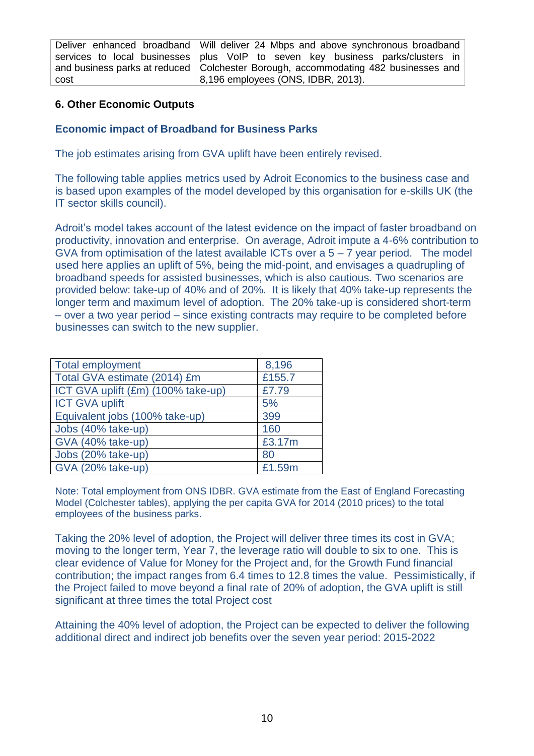Deliver enhanced broadband services to local businesses and business parks at reduced cost

Will deliver 24 Mbps and above synchronous broadband plus VoIP to seven key business parks/clusters in Colchester Borough, accommodating 482 businesses and 8,196 employees (ONS, IDBR, 2013).

## **6. Other Economic Outputs**

## **Economic impact of Broadband for Business Parks**

The job estimates arising from GVA uplift have been entirely revised.

The following table applies metrics used by Adroit Economics to the business case and is based upon examples of the model developed by this organisation for e-skills UK (the IT sector skills council).

Adroit's model takes account of the latest evidence on the impact of faster broadband on productivity, innovation and enterprise. On average, Adroit impute a 4-6% contribution to GVA from optimisation of the latest available ICTs over  $a 5 - 7$  year period. The model used here applies an uplift of 5%, being the mid-point, and envisages a quadrupling of broadband speeds for assisted businesses, which is also cautious. Two scenarios are provided below: take-up of 40% and of 20%. It is likely that 40% take-up represents the longer term and maximum level of adoption. The 20% take-up is considered short-term – over a two year period – since existing contracts may require to be completed before businesses can switch to the new supplier.

| <b>Total employment</b>            | 8,196  |
|------------------------------------|--------|
| Total GVA estimate (2014) £m       | £155.7 |
| ICT GVA uplift (£m) (100% take-up) | £7.79  |
| <b>ICT GVA uplift</b>              | 5%     |
| Equivalent jobs (100% take-up)     | 399    |
| Jobs (40% take-up)                 | 160    |
| GVA (40% take-up)                  | £3.17m |
| Jobs (20% take-up)                 | 80     |
| <b>GVA (20% take-up)</b>           | £1.59m |

Note: Total employment from ONS IDBR. GVA estimate from the East of England Forecasting Model (Colchester tables), applying the per capita GVA for 2014 (2010 prices) to the total employees of the business parks.

Taking the 20% level of adoption, the Project will deliver three times its cost in GVA; moving to the longer term, Year 7, the leverage ratio will double to six to one. This is clear evidence of Value for Money for the Project and, for the Growth Fund financial contribution; the impact ranges from 6.4 times to 12.8 times the value. Pessimistically, if the Project failed to move beyond a final rate of 20% of adoption, the GVA uplift is still significant at three times the total Project cost

Attaining the 40% level of adoption, the Project can be expected to deliver the following additional direct and indirect job benefits over the seven year period: 2015-2022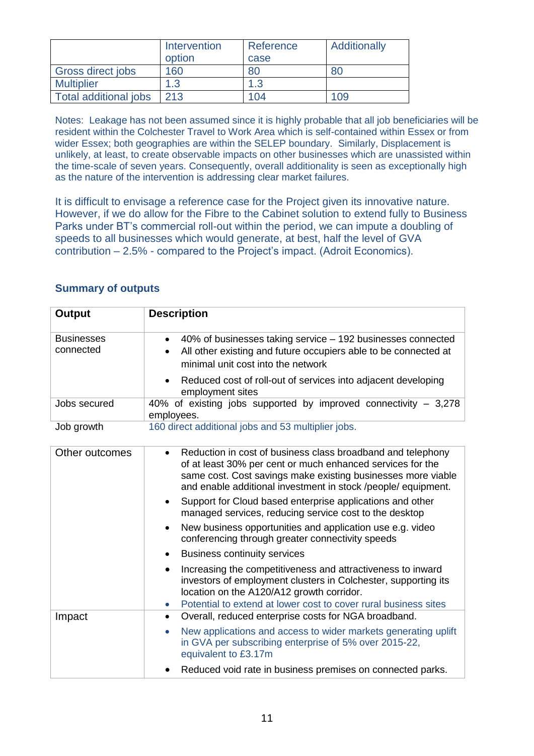|                              | Intervention<br>option | Reference<br>case | Additionally |
|------------------------------|------------------------|-------------------|--------------|
| Gross direct jobs            | 160                    | 80                |              |
| <b>Multiplier</b>            | 1.3                    | 1.3               |              |
| <b>Total additional jobs</b> | 213                    | 104               | 109          |

Notes: Leakage has not been assumed since it is highly probable that all job beneficiaries will be resident within the Colchester Travel to Work Area which is self-contained within Essex or from wider Essex; both geographies are within the SELEP boundary. Similarly, Displacement is unlikely, at least, to create observable impacts on other businesses which are unassisted within the time-scale of seven years. Consequently, overall additionality is seen as exceptionally high as the nature of the intervention is addressing clear market failures.

It is difficult to envisage a reference case for the Project given its innovative nature. However, if we do allow for the Fibre to the Cabinet solution to extend fully to Business Parks under BT's commercial roll-out within the period, we can impute a doubling of speeds to all businesses which would generate, at best, half the level of GVA contribution – 2.5% - compared to the Project's impact. (Adroit Economics).

# **Summary of outputs**

| <b>Output</b>                  | <b>Description</b>                                                                                                                                                                                                                                                      |
|--------------------------------|-------------------------------------------------------------------------------------------------------------------------------------------------------------------------------------------------------------------------------------------------------------------------|
| <b>Businesses</b><br>connected | 40% of businesses taking service – 192 businesses connected<br>$\bullet$<br>All other existing and future occupiers able to be connected at<br>$\bullet$<br>minimal unit cost into the network                                                                          |
|                                | Reduced cost of roll-out of services into adjacent developing<br>employment sites                                                                                                                                                                                       |
| Jobs secured                   | 40% of existing jobs supported by improved connectivity $-3,278$<br>employees.                                                                                                                                                                                          |
| Job growth                     | 160 direct additional jobs and 53 multiplier jobs.                                                                                                                                                                                                                      |
| Other outcomes                 | Reduction in cost of business class broadband and telephony<br>$\bullet$<br>of at least 30% per cent or much enhanced services for the<br>same cost. Cost savings make existing businesses more viable<br>and enable additional investment in stock /people/ equipment. |
|                                | Support for Cloud based enterprise applications and other<br>$\bullet$<br>managed services, reducing service cost to the desktop                                                                                                                                        |
|                                | New business opportunities and application use e.g. video<br>$\bullet$<br>conferencing through greater connectivity speeds                                                                                                                                              |
|                                | <b>Business continuity services</b>                                                                                                                                                                                                                                     |
|                                | Increasing the competitiveness and attractiveness to inward<br>$\bullet$<br>investors of employment clusters in Colchester, supporting its<br>location on the A120/A12 growth corridor.                                                                                 |
| Impact                         | Potential to extend at lower cost to cover rural business sites<br>$\bullet$<br>Overall, reduced enterprise costs for NGA broadband.<br>$\bullet$                                                                                                                       |
|                                | New applications and access to wider markets generating uplift<br>$\bullet$<br>in GVA per subscribing enterprise of 5% over 2015-22,<br>equivalent to £3.17m                                                                                                            |
|                                | Reduced void rate in business premises on connected parks.<br>$\bullet$                                                                                                                                                                                                 |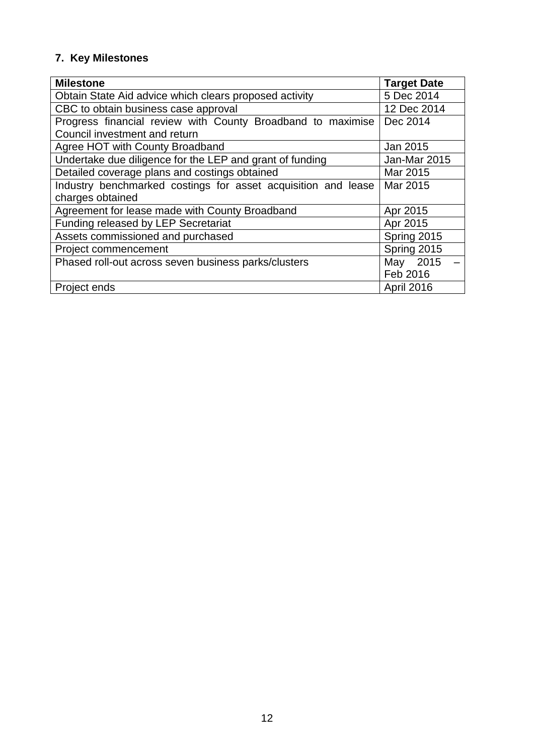# **7. Key Milestones**

| <b>Milestone</b>                                              | <b>Target Date</b> |
|---------------------------------------------------------------|--------------------|
| Obtain State Aid advice which clears proposed activity        | 5 Dec 2014         |
| CBC to obtain business case approval                          | 12 Dec 2014        |
| Progress financial review with County Broadband to maximise   | Dec 2014           |
| Council investment and return                                 |                    |
| Agree HOT with County Broadband                               | Jan 2015           |
| Undertake due diligence for the LEP and grant of funding      | Jan-Mar 2015       |
| Detailed coverage plans and costings obtained                 | Mar 2015           |
| Industry benchmarked costings for asset acquisition and lease | Mar 2015           |
| charges obtained                                              |                    |
| Agreement for lease made with County Broadband                | Apr 2015           |
| Funding released by LEP Secretariat                           | Apr 2015           |
| Assets commissioned and purchased                             | Spring 2015        |
| Project commencement                                          | Spring 2015        |
| Phased roll-out across seven business parks/clusters          | May 2015           |
|                                                               | Feb 2016           |
| Project ends                                                  | April 2016         |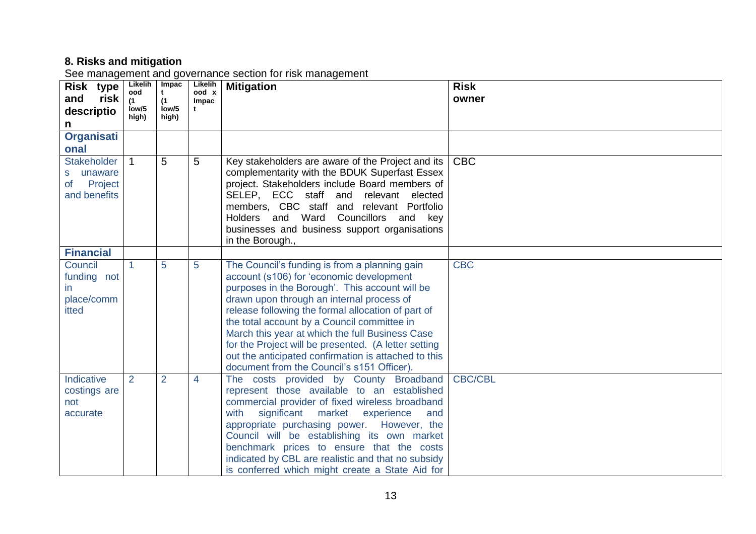## **8. Risks and mitigation**

See management and governance section for risk management

| Risk type<br>risk<br>and<br>descriptio<br>n                         | Likelih<br>ood<br>(1)<br>low/5<br>high) | Impac<br>t<br>(1)<br>low/5<br>high) | Likelih<br>ood x<br>Impac<br>$\mathbf t$ | <b>Mitigation</b>                                                                                                                                                                                                                                                                                                                                                                                                                                                                                              | <b>Risk</b><br>owner |
|---------------------------------------------------------------------|-----------------------------------------|-------------------------------------|------------------------------------------|----------------------------------------------------------------------------------------------------------------------------------------------------------------------------------------------------------------------------------------------------------------------------------------------------------------------------------------------------------------------------------------------------------------------------------------------------------------------------------------------------------------|----------------------|
| <b>Organisati</b><br>onal                                           |                                         |                                     |                                          |                                                                                                                                                                                                                                                                                                                                                                                                                                                                                                                |                      |
| <b>Stakeholder</b><br>unaware<br>s<br>Project<br>of<br>and benefits | $\mathbf{1}$                            | 5                                   | 5                                        | Key stakeholders are aware of the Project and its<br>complementarity with the BDUK Superfast Essex<br>project. Stakeholders include Board members of<br>SELEP, ECC staff and relevant elected<br>members, CBC staff and relevant Portfolio<br>Holders and Ward<br>Councillors<br>and<br>key<br>businesses and business support organisations<br>in the Borough.,                                                                                                                                               | <b>CBC</b>           |
| <b>Financial</b>                                                    |                                         |                                     |                                          |                                                                                                                                                                                                                                                                                                                                                                                                                                                                                                                |                      |
| Council<br>funding not<br>$\mathsf{I}$<br>place/comm<br>itted       | $\blacktriangleleft$                    | 5                                   | 5                                        | The Council's funding is from a planning gain<br>account (s106) for 'economic development<br>purposes in the Borough'. This account will be<br>drawn upon through an internal process of<br>release following the formal allocation of part of<br>the total account by a Council committee in<br>March this year at which the full Business Case<br>for the Project will be presented. (A letter setting<br>out the anticipated confirmation is attached to this<br>document from the Council's s151 Officer). | <b>CBC</b>           |
| Indicative<br>costings are<br>not<br>accurate                       | 2                                       | $\overline{2}$                      | 4                                        | The costs provided by County Broadband<br>represent those available to an established<br>commercial provider of fixed wireless broadband<br>with<br>significant market<br>experience<br>and<br>appropriate purchasing power. However, the<br>Council will be establishing its own market<br>benchmark prices to ensure that the costs<br>indicated by CBL are realistic and that no subsidy<br>is conferred which might create a State Aid for                                                                 | CBC/CBL              |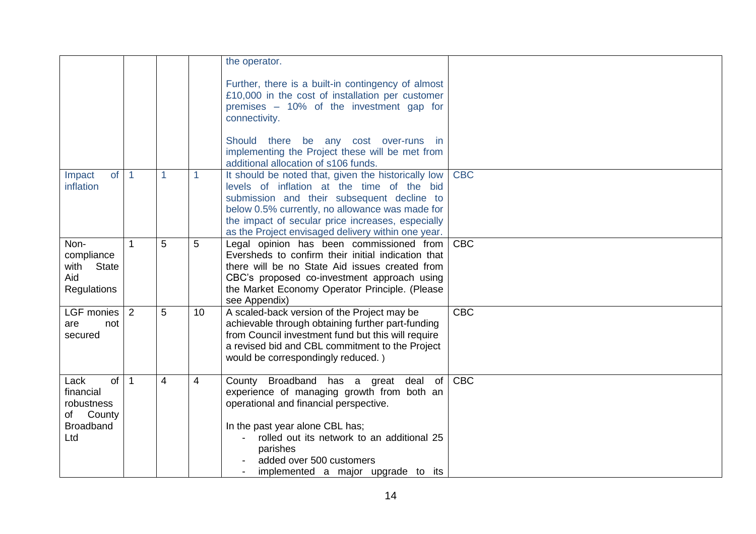|                                                                               |                |                |                 | the operator.                                                                                                                                                                                                                                                                                                 |            |
|-------------------------------------------------------------------------------|----------------|----------------|-----------------|---------------------------------------------------------------------------------------------------------------------------------------------------------------------------------------------------------------------------------------------------------------------------------------------------------------|------------|
|                                                                               |                |                |                 | Further, there is a built-in contingency of almost<br>£10,000 in the cost of installation per customer<br>premises - 10% of the investment gap for<br>connectivity.                                                                                                                                           |            |
|                                                                               |                |                |                 | Should there be any cost over-runs in<br>implementing the Project these will be met from<br>additional allocation of s106 funds.                                                                                                                                                                              |            |
| of<br>Impact<br>inflation                                                     | $\overline{1}$ |                | 1               | It should be noted that, given the historically low<br>levels of inflation at the time of the bid<br>submission and their subsequent decline to<br>below 0.5% currently, no allowance was made for<br>the impact of secular price increases, especially<br>as the Project envisaged delivery within one year. | <b>CBC</b> |
| Non-<br>compliance<br>with<br>State<br>Aid<br><b>Regulations</b>              | $\mathbf 1$    | 5              | 5               | Legal opinion has been commissioned from<br>Eversheds to confirm their initial indication that<br>there will be no State Aid issues created from<br>CBC's proposed co-investment approach using<br>the Market Economy Operator Principle. (Please<br>see Appendix)                                            | <b>CBC</b> |
| LGF monies<br>are<br>not<br>secured                                           | 2              | 5              | 10 <sup>°</sup> | A scaled-back version of the Project may be<br>achievable through obtaining further part-funding<br>from Council investment fund but this will require<br>a revised bid and CBL commitment to the Project<br>would be correspondingly reduced.)                                                               | <b>CBC</b> |
| of<br>Lack<br>financial<br>robustness<br>of County<br><b>Broadband</b><br>Ltd | $\overline{1}$ | $\overline{4}$ | $\overline{4}$  | County Broadband has a great deal of<br>experience of managing growth from both an<br>operational and financial perspective.<br>In the past year alone CBL has;<br>rolled out its network to an additional 25<br>parishes<br>added over 500 customers<br>implemented a major upgrade to its                   | <b>CBC</b> |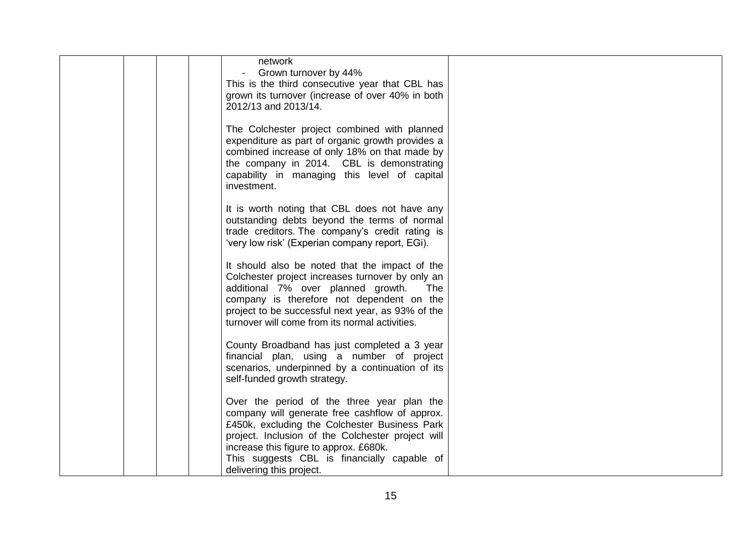|  | network<br>Grown turnover by 44%<br>This is the third consecutive year that CBL has<br>grown its turnover (increase of over 40% in both<br>2012/13 and 2013/14.                                                                                                                                                         |  |
|--|-------------------------------------------------------------------------------------------------------------------------------------------------------------------------------------------------------------------------------------------------------------------------------------------------------------------------|--|
|  | The Colchester project combined with planned<br>expenditure as part of organic growth provides a<br>combined increase of only 18% on that made by<br>the company in 2014. CBL is demonstrating<br>capability in managing this level of capital<br>investment.                                                           |  |
|  | It is worth noting that CBL does not have any<br>outstanding debts beyond the terms of normal<br>trade creditors. The company's credit rating is<br>'very low risk' (Experian company report, EGi).                                                                                                                     |  |
|  | It should also be noted that the impact of the<br>Colchester project increases turnover by only an<br>additional 7% over planned growth.<br><b>The</b><br>company is therefore not dependent on the<br>project to be successful next year, as 93% of the<br>turnover will come from its normal activities.              |  |
|  | County Broadband has just completed a 3 year<br>financial plan, using a number of project<br>scenarios, underpinned by a continuation of its<br>self-funded growth strategy.                                                                                                                                            |  |
|  | Over the period of the three year plan the<br>company will generate free cashflow of approx.<br>£450k, excluding the Colchester Business Park<br>project. Inclusion of the Colchester project will<br>increase this figure to approx. £680k.<br>This suggests CBL is financially capable of<br>delivering this project. |  |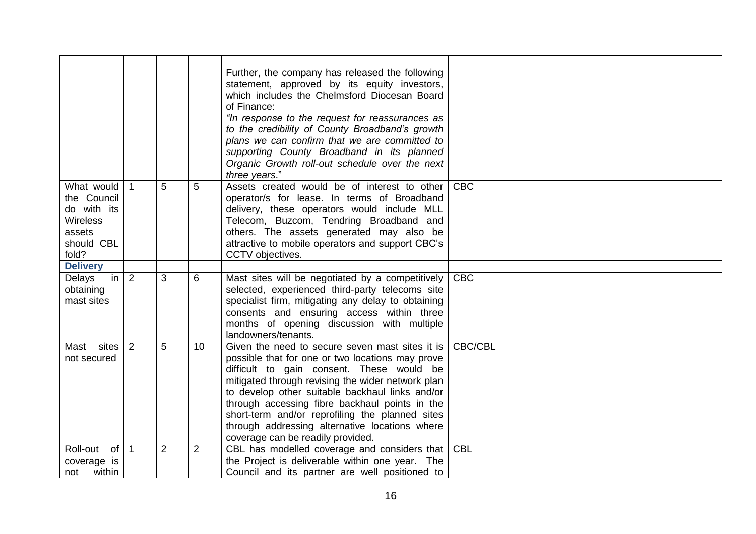|                                                                                              |              |                |                 | Further, the company has released the following<br>statement, approved by its equity investors,<br>which includes the Chelmsford Diocesan Board<br>of Finance:<br>"In response to the request for reassurances as<br>to the credibility of County Broadband's growth<br>plans we can confirm that we are committed to<br>supporting County Broadband in its planned<br>Organic Growth roll-out schedule over the next<br>three years."               |            |
|----------------------------------------------------------------------------------------------|--------------|----------------|-----------------|------------------------------------------------------------------------------------------------------------------------------------------------------------------------------------------------------------------------------------------------------------------------------------------------------------------------------------------------------------------------------------------------------------------------------------------------------|------------|
| What would<br>the Council<br>do with its<br><b>Wireless</b><br>assets<br>should CBL<br>fold? | $\mathbf{1}$ | 5              | 5               | Assets created would be of interest to other<br>operator/s for lease. In terms of Broadband<br>delivery, these operators would include MLL<br>Telecom, Buzcom, Tendring Broadband and<br>others. The assets generated may also be<br>attractive to mobile operators and support CBC's<br>CCTV objectives.                                                                                                                                            | <b>CBC</b> |
| <b>Delivery</b>                                                                              |              |                |                 |                                                                                                                                                                                                                                                                                                                                                                                                                                                      |            |
| Delays<br>in<br>obtaining<br>mast sites                                                      | 2            | 3              | 6               | Mast sites will be negotiated by a competitively<br>selected, experienced third-party telecoms site<br>specialist firm, mitigating any delay to obtaining<br>consents and ensuring access within three<br>months of opening discussion with multiple<br>landowners/tenants.                                                                                                                                                                          | <b>CBC</b> |
| Mast sites<br>not secured                                                                    | 2            | 5              | 10 <sup>1</sup> | Given the need to secure seven mast sites it is<br>possible that for one or two locations may prove<br>difficult to gain consent. These would be<br>mitigated through revising the wider network plan<br>to develop other suitable backhaul links and/or<br>through accessing fibre backhaul points in the<br>short-term and/or reprofiling the planned sites<br>through addressing alternative locations where<br>coverage can be readily provided. | CBC/CBL    |
| Roll-out<br>of<br>coverage is<br>not within                                                  | $\mathbf{1}$ | $\overline{2}$ | $\overline{2}$  | CBL has modelled coverage and considers that<br>the Project is deliverable within one year. The<br>Council and its partner are well positioned to                                                                                                                                                                                                                                                                                                    | <b>CBL</b> |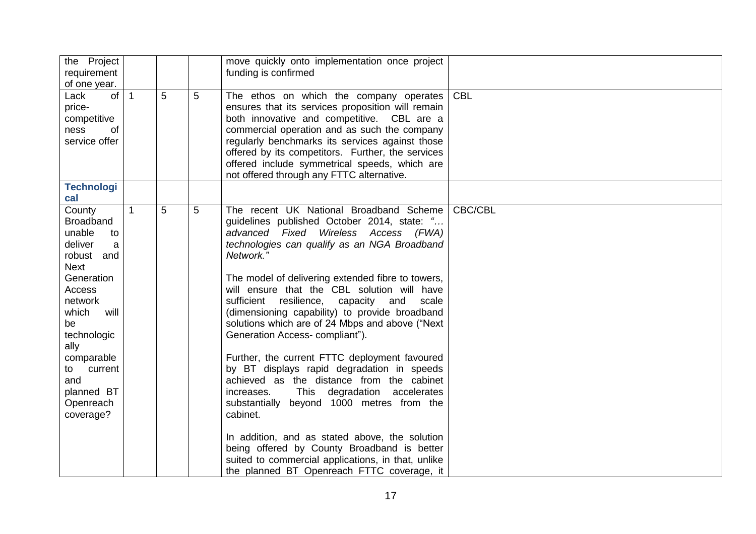| the Project<br>requirement<br>of one year.                                                                                                                                                                                                          |              |   |   | move quickly onto implementation once project<br>funding is confirmed                                                                                                                                                                                                                                                                                                                                                                                                                                                                                                                                                                                                                                                                                                                                                                                                                                                                                        |            |
|-----------------------------------------------------------------------------------------------------------------------------------------------------------------------------------------------------------------------------------------------------|--------------|---|---|--------------------------------------------------------------------------------------------------------------------------------------------------------------------------------------------------------------------------------------------------------------------------------------------------------------------------------------------------------------------------------------------------------------------------------------------------------------------------------------------------------------------------------------------------------------------------------------------------------------------------------------------------------------------------------------------------------------------------------------------------------------------------------------------------------------------------------------------------------------------------------------------------------------------------------------------------------------|------------|
| of<br>Lack<br>price-<br>competitive<br>ness<br>of<br>service offer                                                                                                                                                                                  | $\mathbf{1}$ | 5 | 5 | The ethos on which the company operates<br>ensures that its services proposition will remain<br>both innovative and competitive. CBL are a<br>commercial operation and as such the company<br>regularly benchmarks its services against those<br>offered by its competitors. Further, the services<br>offered include symmetrical speeds, which are<br>not offered through any FTTC alternative.                                                                                                                                                                                                                                                                                                                                                                                                                                                                                                                                                             | <b>CBL</b> |
| <b>Technologi</b><br>cal                                                                                                                                                                                                                            |              |   |   |                                                                                                                                                                                                                                                                                                                                                                                                                                                                                                                                                                                                                                                                                                                                                                                                                                                                                                                                                              |            |
| County<br><b>Broadband</b><br>unable<br>to<br>deliver<br>a<br>robust and<br><b>Next</b><br>Generation<br>Access<br>network<br>which<br>will<br>be<br>technologic<br>ally<br>comparable<br>to current<br>and<br>planned BT<br>Openreach<br>coverage? | $\mathbf{1}$ | 5 | 5 | The recent UK National Broadband Scheme<br>guidelines published October 2014, state: "<br>advanced Fixed Wireless Access (FWA)<br>technologies can qualify as an NGA Broadband<br>Network."<br>The model of delivering extended fibre to towers,<br>will ensure that the CBL solution will have<br>sufficient resilience,<br>capacity and<br>scale<br>(dimensioning capability) to provide broadband<br>solutions which are of 24 Mbps and above ("Next<br>Generation Access- compliant").<br>Further, the current FTTC deployment favoured<br>by BT displays rapid degradation in speeds<br>achieved as the distance from the cabinet<br><b>This</b><br>degradation accelerates<br>increases.<br>substantially beyond 1000 metres from the<br>cabinet.<br>In addition, and as stated above, the solution<br>being offered by County Broadband is better<br>suited to commercial applications, in that, unlike<br>the planned BT Openreach FTTC coverage, it | CBC/CBL    |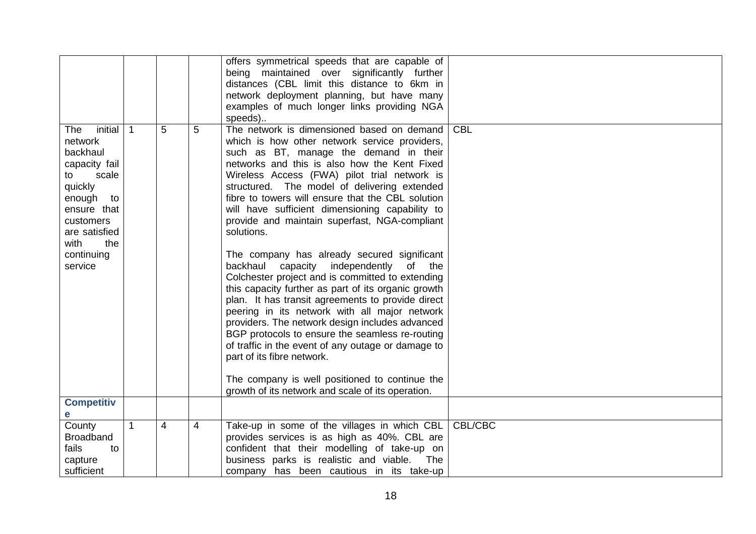| initial<br><b>The</b>     | $\overline{1}$ | 5 | 5 | offers symmetrical speeds that are capable of<br>being maintained over significantly further<br>distances (CBL limit this distance to 6km in<br>network deployment planning, but have many<br>examples of much longer links providing NGA<br>speeds)<br>The network is dimensioned based on demand | <b>CBL</b> |
|---------------------------|----------------|---|---|----------------------------------------------------------------------------------------------------------------------------------------------------------------------------------------------------------------------------------------------------------------------------------------------------|------------|
| network                   |                |   |   | which is how other network service providers,                                                                                                                                                                                                                                                      |            |
| backhaul                  |                |   |   | such as BT, manage the demand in their                                                                                                                                                                                                                                                             |            |
| capacity fail             |                |   |   | networks and this is also how the Kent Fixed                                                                                                                                                                                                                                                       |            |
| scale<br>to<br>quickly    |                |   |   | Wireless Access (FWA) pilot trial network is<br>structured. The model of delivering extended                                                                                                                                                                                                       |            |
| enough<br>to              |                |   |   | fibre to towers will ensure that the CBL solution                                                                                                                                                                                                                                                  |            |
| ensure that               |                |   |   | will have sufficient dimensioning capability to                                                                                                                                                                                                                                                    |            |
| customers                 |                |   |   | provide and maintain superfast, NGA-compliant                                                                                                                                                                                                                                                      |            |
| are satisfied             |                |   |   | solutions.                                                                                                                                                                                                                                                                                         |            |
| with<br>the<br>continuing |                |   |   | The company has already secured significant                                                                                                                                                                                                                                                        |            |
| service                   |                |   |   | backhaul capacity independently of the                                                                                                                                                                                                                                                             |            |
|                           |                |   |   | Colchester project and is committed to extending                                                                                                                                                                                                                                                   |            |
|                           |                |   |   | this capacity further as part of its organic growth                                                                                                                                                                                                                                                |            |
|                           |                |   |   | plan. It has transit agreements to provide direct<br>peering in its network with all major network                                                                                                                                                                                                 |            |
|                           |                |   |   | providers. The network design includes advanced                                                                                                                                                                                                                                                    |            |
|                           |                |   |   | BGP protocols to ensure the seamless re-routing                                                                                                                                                                                                                                                    |            |
|                           |                |   |   | of traffic in the event of any outage or damage to                                                                                                                                                                                                                                                 |            |
|                           |                |   |   | part of its fibre network.                                                                                                                                                                                                                                                                         |            |
|                           |                |   |   | The company is well positioned to continue the                                                                                                                                                                                                                                                     |            |
|                           |                |   |   | growth of its network and scale of its operation.                                                                                                                                                                                                                                                  |            |
| <b>Competitiv</b>         |                |   |   |                                                                                                                                                                                                                                                                                                    |            |
| е<br>County               | $\mathbf{1}$   | 4 | 4 | Take-up in some of the villages in which CBL                                                                                                                                                                                                                                                       | CBL/CBC    |
| <b>Broadband</b>          |                |   |   | provides services is as high as 40%. CBL are                                                                                                                                                                                                                                                       |            |
| fails<br>to               |                |   |   | confident that their modelling of take-up on                                                                                                                                                                                                                                                       |            |
| capture                   |                |   |   | business parks is realistic and viable.<br>The                                                                                                                                                                                                                                                     |            |
| sufficient                |                |   |   | company has been cautious in its take-up                                                                                                                                                                                                                                                           |            |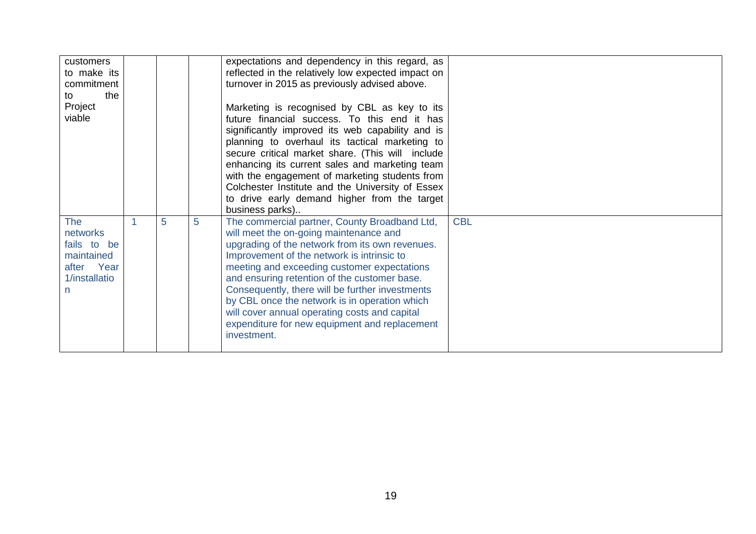| customers<br>to make its<br>commitment<br>the<br>to<br>Project<br>viable                 |   |   |   | expectations and dependency in this regard, as<br>reflected in the relatively low expected impact on<br>turnover in 2015 as previously advised above.<br>Marketing is recognised by CBL as key to its<br>future financial success. To this end it has<br>significantly improved its web capability and is<br>planning to overhaul its tactical marketing to<br>secure critical market share. (This will include<br>enhancing its current sales and marketing team<br>with the engagement of marketing students from<br>Colchester Institute and the University of Essex<br>to drive early demand higher from the target<br>business parks) |            |
|------------------------------------------------------------------------------------------|---|---|---|--------------------------------------------------------------------------------------------------------------------------------------------------------------------------------------------------------------------------------------------------------------------------------------------------------------------------------------------------------------------------------------------------------------------------------------------------------------------------------------------------------------------------------------------------------------------------------------------------------------------------------------------|------------|
| <b>The</b><br>networks<br>fails to be<br>maintained<br>after Year<br>1/installatio<br>n. | 1 | 5 | 5 | The commercial partner, County Broadband Ltd,<br>will meet the on-going maintenance and<br>upgrading of the network from its own revenues.<br>Improvement of the network is intrinsic to<br>meeting and exceeding customer expectations<br>and ensuring retention of the customer base.<br>Consequently, there will be further investments<br>by CBL once the network is in operation which<br>will cover annual operating costs and capital<br>expenditure for new equipment and replacement<br>investment.                                                                                                                               | <b>CBL</b> |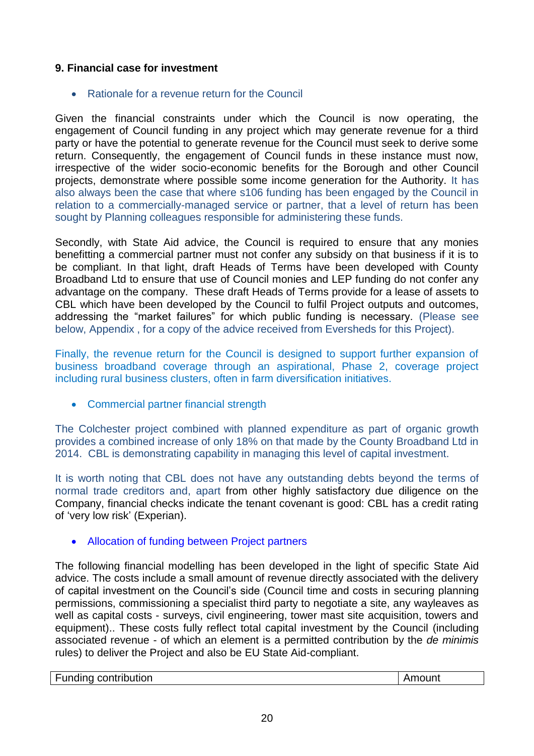## **9. Financial case for investment**

### • Rationale for a revenue return for the Council

Given the financial constraints under which the Council is now operating, the engagement of Council funding in any project which may generate revenue for a third party or have the potential to generate revenue for the Council must seek to derive some return. Consequently, the engagement of Council funds in these instance must now, irrespective of the wider socio-economic benefits for the Borough and other Council projects, demonstrate where possible some income generation for the Authority. It has also always been the case that where s106 funding has been engaged by the Council in relation to a commercially-managed service or partner, that a level of return has been sought by Planning colleagues responsible for administering these funds.

Secondly, with State Aid advice, the Council is required to ensure that any monies benefitting a commercial partner must not confer any subsidy on that business if it is to be compliant. In that light, draft Heads of Terms have been developed with County Broadband Ltd to ensure that use of Council monies and LEP funding do not confer any advantage on the company. These draft Heads of Terms provide for a lease of assets to CBL which have been developed by the Council to fulfil Project outputs and outcomes, addressing the "market failures" for which public funding is necessary. (Please see below, Appendix , for a copy of the advice received from Eversheds for this Project).

Finally, the revenue return for the Council is designed to support further expansion of business broadband coverage through an aspirational, Phase 2, coverage project including rural business clusters, often in farm diversification initiatives.

• Commercial partner financial strength

The Colchester project combined with planned expenditure as part of organic growth provides a combined increase of only 18% on that made by the County Broadband Ltd in 2014. CBL is demonstrating capability in managing this level of capital investment.

It is worth noting that CBL does not have any outstanding debts beyond the terms of normal trade creditors and, apart from other highly satisfactory due diligence on the Company, financial checks indicate the tenant covenant is good: CBL has a credit rating of 'very low risk' (Experian).

## Allocation of funding between Project partners

The following financial modelling has been developed in the light of specific State Aid advice. The costs include a small amount of revenue directly associated with the delivery of capital investment on the Council's side (Council time and costs in securing planning permissions, commissioning a specialist third party to negotiate a site, any wayleaves as well as capital costs - surveys, civil engineering, tower mast site acquisition, towers and equipment).. These costs fully reflect total capital investment by the Council (including associated revenue - of which an element is a permitted contribution by the *de minimis* rules) to deliver the Project and also be EU State Aid-compliant.

| Funding contribution | ount |
|----------------------|------|
|                      |      |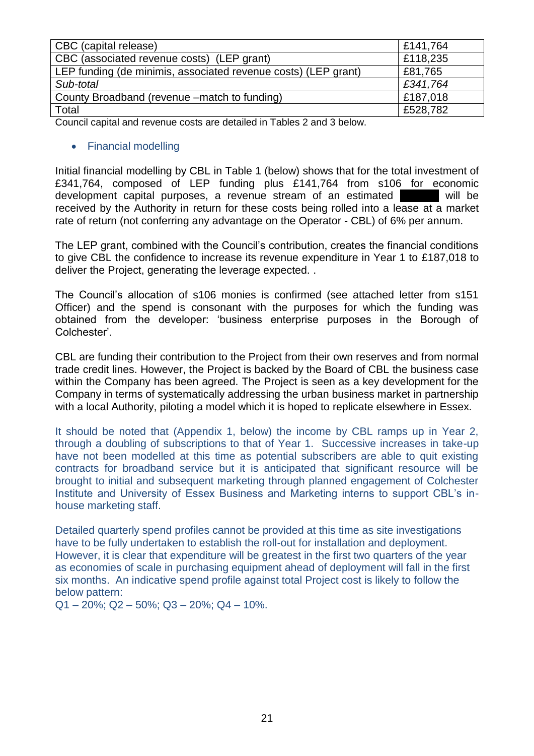| CBC (capital release)                                          | £141,764 |
|----------------------------------------------------------------|----------|
| CBC (associated revenue costs) (LEP grant)                     | £118,235 |
| LEP funding (de minimis, associated revenue costs) (LEP grant) | £81,765  |
| Sub-total                                                      | £341,764 |
| County Broadband (revenue –match to funding)                   | £187,018 |
| Total                                                          | £528,782 |

Council capital and revenue costs are detailed in Tables 2 and 3 below.

### • Financial modelling

Initial financial modelling by CBL in Table 1 (below) shows that for the total investment of £341,764, composed of LEP funding plus £141,764 from s106 for economic development capital purposes, a revenue stream of an estimated **1900 will be** received by the Authority in return for these costs being rolled into a lease at a market rate of return (not conferring any advantage on the Operator - CBL) of 6% per annum.

The LEP grant, combined with the Council's contribution, creates the financial conditions to give CBL the confidence to increase its revenue expenditure in Year 1 to £187,018 to deliver the Project, generating the leverage expected. .

The Council's allocation of s106 monies is confirmed (see attached letter from s151 Officer) and the spend is consonant with the purposes for which the funding was obtained from the developer: 'business enterprise purposes in the Borough of Colchester'.

CBL are funding their contribution to the Project from their own reserves and from normal trade credit lines. However, the Project is backed by the Board of CBL the business case within the Company has been agreed. The Project is seen as a key development for the Company in terms of systematically addressing the urban business market in partnership with a local Authority, piloting a model which it is hoped to replicate elsewhere in Essex.

It should be noted that (Appendix 1, below) the income by CBL ramps up in Year 2, through a doubling of subscriptions to that of Year 1. Successive increases in take-up have not been modelled at this time as potential subscribers are able to quit existing contracts for broadband service but it is anticipated that significant resource will be brought to initial and subsequent marketing through planned engagement of Colchester Institute and University of Essex Business and Marketing interns to support CBL's inhouse marketing staff.

Detailed quarterly spend profiles cannot be provided at this time as site investigations have to be fully undertaken to establish the roll-out for installation and deployment. However, it is clear that expenditure will be greatest in the first two quarters of the year as economies of scale in purchasing equipment ahead of deployment will fall in the first six months. An indicative spend profile against total Project cost is likely to follow the below pattern:

 $Q1 - 20\%$ ;  $Q2 - 50\%$ ;  $Q3 - 20\%$ ;  $Q4 - 10\%$ .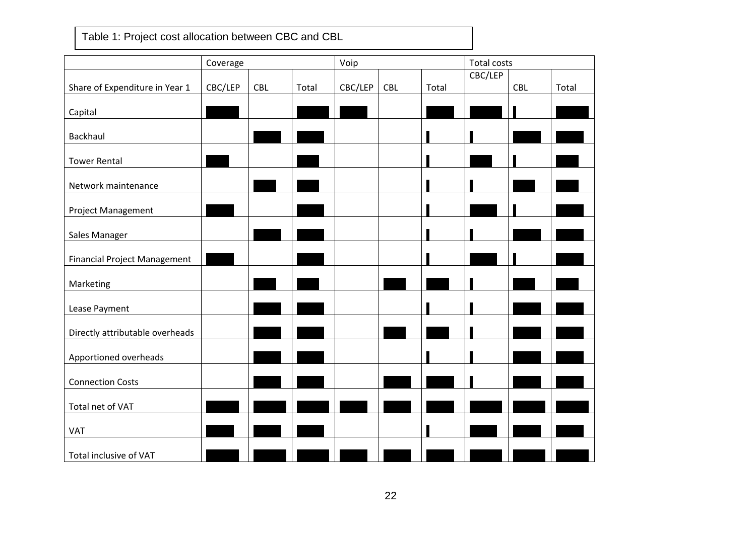Table 1: Project cost allocation between CBC and CBL

|                                     | Coverage |            |       | Voip    |            |       | <b>Total costs</b> |            |       |
|-------------------------------------|----------|------------|-------|---------|------------|-------|--------------------|------------|-------|
|                                     |          |            |       |         |            |       | CBC/LEP            |            |       |
| Share of Expenditure in Year 1      | CBC/LEP  | <b>CBL</b> | Total | CBC/LEP | <b>CBL</b> | Total |                    | <b>CBL</b> | Total |
|                                     |          |            |       |         |            |       |                    |            |       |
| Capital                             |          |            |       |         |            |       |                    |            |       |
|                                     |          |            |       |         |            |       |                    |            |       |
| <b>Backhaul</b>                     |          |            |       |         |            |       |                    |            |       |
| <b>Tower Rental</b>                 |          |            |       |         |            |       |                    |            |       |
|                                     |          |            |       |         |            |       |                    |            |       |
| Network maintenance                 |          |            |       |         |            |       |                    |            |       |
|                                     |          |            |       |         |            |       |                    |            |       |
| Project Management                  |          |            |       |         |            |       |                    |            |       |
|                                     |          |            |       |         |            |       |                    |            |       |
| Sales Manager                       |          |            |       |         |            |       |                    |            |       |
|                                     |          |            |       |         |            |       |                    |            |       |
| <b>Financial Project Management</b> |          |            |       |         |            |       |                    |            |       |
|                                     |          |            |       |         |            |       |                    |            |       |
| Marketing                           |          |            |       |         |            |       |                    |            |       |
| Lease Payment                       |          |            |       |         |            |       |                    |            |       |
|                                     |          |            |       |         |            |       |                    |            |       |
| Directly attributable overheads     |          |            |       |         |            |       |                    |            |       |
|                                     |          |            |       |         |            |       |                    |            |       |
| Apportioned overheads               |          |            |       |         |            |       |                    |            |       |
|                                     |          |            |       |         |            |       |                    |            |       |
| <b>Connection Costs</b>             |          |            |       |         |            |       |                    |            |       |
|                                     |          |            |       |         |            |       |                    |            |       |
| Total net of VAT                    |          |            |       |         |            |       |                    |            |       |
|                                     |          |            |       |         |            |       |                    |            |       |
| <b>VAT</b>                          |          |            |       |         |            |       |                    |            |       |
| Total inclusive of VAT              |          |            |       |         |            |       |                    |            |       |
|                                     |          |            |       |         |            |       |                    |            |       |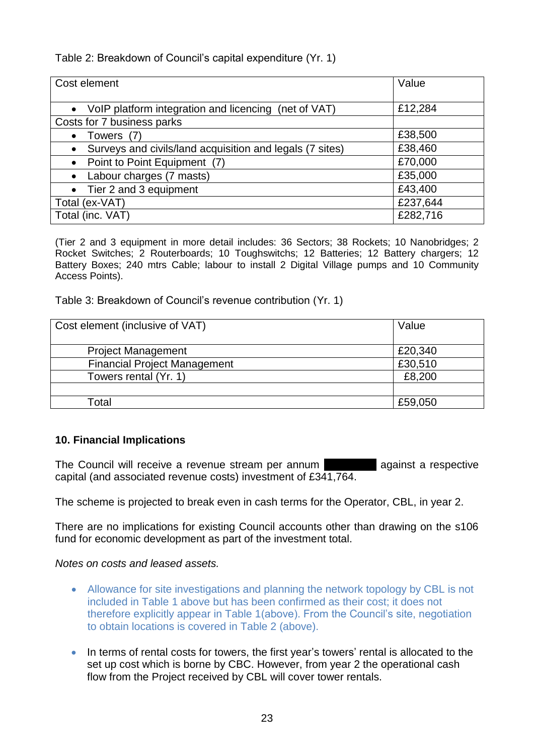Table 2: Breakdown of Council's capital expenditure (Yr. 1)

| Cost element                                             | Value    |  |  |
|----------------------------------------------------------|----------|--|--|
| • VoIP platform integration and licencing (net of VAT)   | £12,284  |  |  |
| Costs for 7 business parks                               |          |  |  |
| Towers (7)                                               | £38,500  |  |  |
| Surveys and civils/land acquisition and legals (7 sites) | £38,460  |  |  |
| Point to Point Equipment (7)                             | £70,000  |  |  |
| Labour charges (7 masts)                                 | £35,000  |  |  |
| Tier 2 and 3 equipment                                   | £43,400  |  |  |
| £237,644<br>Total (ex-VAT)                               |          |  |  |
| Total (inc. VAT)                                         | £282,716 |  |  |

(Tier 2 and 3 equipment in more detail includes: 36 Sectors; 38 Rockets; 10 Nanobridges; 2 Rocket Switches; 2 Routerboards; 10 Toughswitchs; 12 Batteries; 12 Battery chargers; 12 Battery Boxes; 240 mtrs Cable; labour to install 2 Digital Village pumps and 10 Community Access Points).

Table 3: Breakdown of Council's revenue contribution (Yr. 1)

| Cost element (inclusive of VAT)     | Value   |
|-------------------------------------|---------|
| <b>Project Management</b>           | £20,340 |
| <b>Financial Project Management</b> | £30,510 |
| Towers rental (Yr. 1)               | £8,200  |
|                                     |         |
| Гоtal                               | £59,050 |

# **10. Financial Implications**

The Council will receive a revenue stream per annum capital (and associated revenue costs) investment of £341,764.

The scheme is projected to break even in cash terms for the Operator, CBL, in year 2.

There are no implications for existing Council accounts other than drawing on the s106 fund for economic development as part of the investment total.

*Notes on costs and leased assets.*

- Allowance for site investigations and planning the network topology by CBL is not included in Table 1 above but has been confirmed as their cost; it does not therefore explicitly appear in Table 1(above). From the Council's site, negotiation to obtain locations is covered in Table 2 (above).
- In terms of rental costs for towers, the first year's towers' rental is allocated to the set up cost which is borne by CBC. However, from year 2 the operational cash flow from the Project received by CBL will cover tower rentals.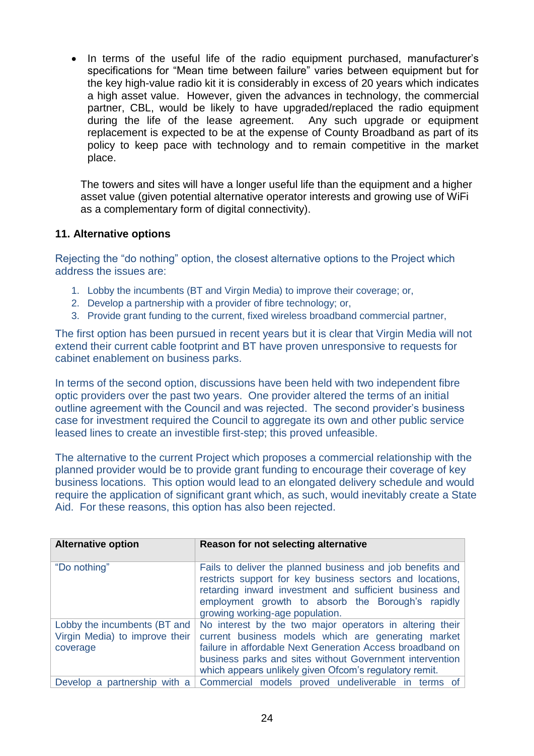In terms of the useful life of the radio equipment purchased, manufacturer's specifications for "Mean time between failure" varies between equipment but for the key high-value radio kit it is considerably in excess of 20 years which indicates a high asset value. However, given the advances in technology, the commercial partner, CBL, would be likely to have upgraded/replaced the radio equipment during the life of the lease agreement. Any such upgrade or equipment replacement is expected to be at the expense of County Broadband as part of its policy to keep pace with technology and to remain competitive in the market place.

The towers and sites will have a longer useful life than the equipment and a higher asset value (given potential alternative operator interests and growing use of WiFi as a complementary form of digital connectivity).

## **11. Alternative options**

Rejecting the "do nothing" option, the closest alternative options to the Project which address the issues are:

- 1. Lobby the incumbents (BT and Virgin Media) to improve their coverage; or,
- 2. Develop a partnership with a provider of fibre technology; or,
- 3. Provide grant funding to the current, fixed wireless broadband commercial partner,

The first option has been pursued in recent years but it is clear that Virgin Media will not extend their current cable footprint and BT have proven unresponsive to requests for cabinet enablement on business parks.

In terms of the second option, discussions have been held with two independent fibre optic providers over the past two years. One provider altered the terms of an initial outline agreement with the Council and was rejected. The second provider's business case for investment required the Council to aggregate its own and other public service leased lines to create an investible first-step; this proved unfeasible.

The alternative to the current Project which proposes a commercial relationship with the planned provider would be to provide grant funding to encourage their coverage of key business locations. This option would lead to an elongated delivery schedule and would require the application of significant grant which, as such, would inevitably create a State Aid. For these reasons, this option has also been rejected.

| <b>Alternative option</b>                                                  | Reason for not selecting alternative                                                                                                                                                                                                                                                               |  |  |  |  |  |
|----------------------------------------------------------------------------|----------------------------------------------------------------------------------------------------------------------------------------------------------------------------------------------------------------------------------------------------------------------------------------------------|--|--|--|--|--|
| "Do nothing"                                                               | Fails to deliver the planned business and job benefits and<br>restricts support for key business sectors and locations,<br>retarding inward investment and sufficient business and<br>employment growth to absorb the Borough's rapidly<br>growing working-age population.                         |  |  |  |  |  |
| Lobby the incumbents (BT and<br>Virgin Media) to improve their<br>coverage | No interest by the two major operators in altering their<br>current business models which are generating market<br>failure in affordable Next Generation Access broadband on<br>business parks and sites without Government intervention<br>which appears unlikely given Ofcom's regulatory remit. |  |  |  |  |  |
| Develop a partnership with a                                               | Commercial models proved undeliverable in terms of                                                                                                                                                                                                                                                 |  |  |  |  |  |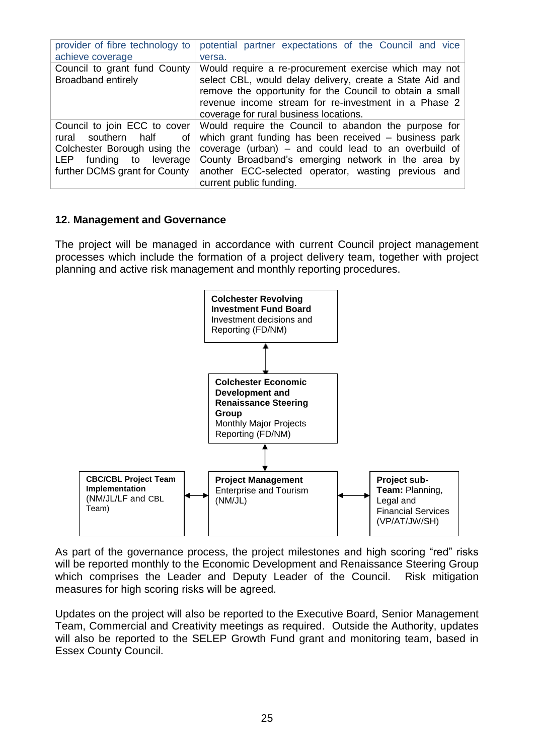| provider of fibre technology to                           | potential partner expectations of the Council and vice                                                                                                                                                                                                                          |
|-----------------------------------------------------------|---------------------------------------------------------------------------------------------------------------------------------------------------------------------------------------------------------------------------------------------------------------------------------|
| achieve coverage                                          | versa.                                                                                                                                                                                                                                                                          |
| Council to grant fund County<br><b>Broadband entirely</b> | Would require a re-procurement exercise which may not<br>select CBL, would delay delivery, create a State Aid and<br>remove the opportunity for the Council to obtain a small<br>revenue income stream for re-investment in a Phase 2<br>coverage for rural business locations. |
| Council to join ECC to cover                              | Would require the Council to abandon the purpose for                                                                                                                                                                                                                            |
| rural southern half                                       | which grant funding has been received – business park                                                                                                                                                                                                                           |
| οf                                                        | coverage (urban) – and could lead to an overbuild of                                                                                                                                                                                                                            |
| Colchester Borough using the                              | County Broadband's emerging network in the area by                                                                                                                                                                                                                              |
| LEP funding to leverage                                   | another ECC-selected operator, wasting previous and                                                                                                                                                                                                                             |
| further DCMS grant for County                             | current public funding.                                                                                                                                                                                                                                                         |

## **12. Management and Governance**

The project will be managed in accordance with current Council project management processes which include the formation of a project delivery team, together with project planning and active risk management and monthly reporting procedures.



As part of the governance process, the project milestones and high scoring "red" risks will be reported monthly to the Economic Development and Renaissance Steering Group which comprises the Leader and Deputy Leader of the Council. Risk mitigation measures for high scoring risks will be agreed.

Updates on the project will also be reported to the Executive Board, Senior Management Team, Commercial and Creativity meetings as required. Outside the Authority, updates will also be reported to the SELEP Growth Fund grant and monitoring team, based in Essex County Council.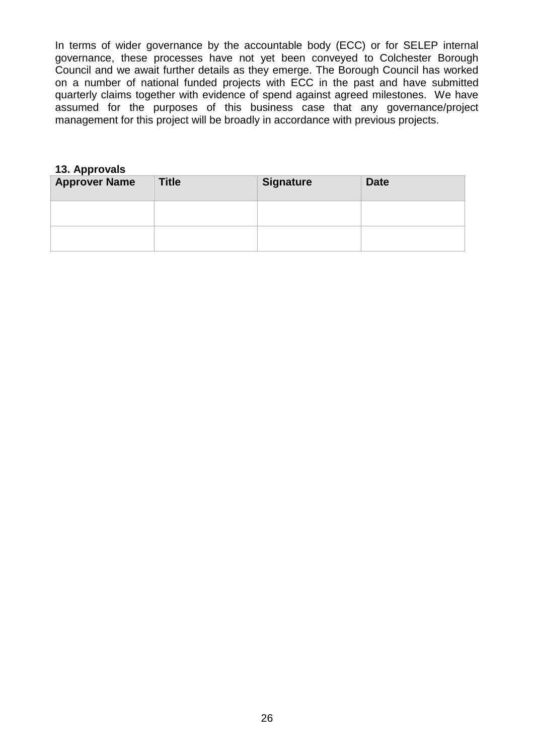In terms of wider governance by the accountable body (ECC) or for SELEP internal governance, these processes have not yet been conveyed to Colchester Borough Council and we await further details as they emerge. The Borough Council has worked on a number of national funded projects with ECC in the past and have submitted quarterly claims together with evidence of spend against agreed milestones. We have assumed for the purposes of this business case that any governance/project management for this project will be broadly in accordance with previous projects.

## **13. Approvals**

| <b>Approver Name</b> | <b>Title</b> | <b>Signature</b> | <b>Date</b> |
|----------------------|--------------|------------------|-------------|
|                      |              |                  |             |
|                      |              |                  |             |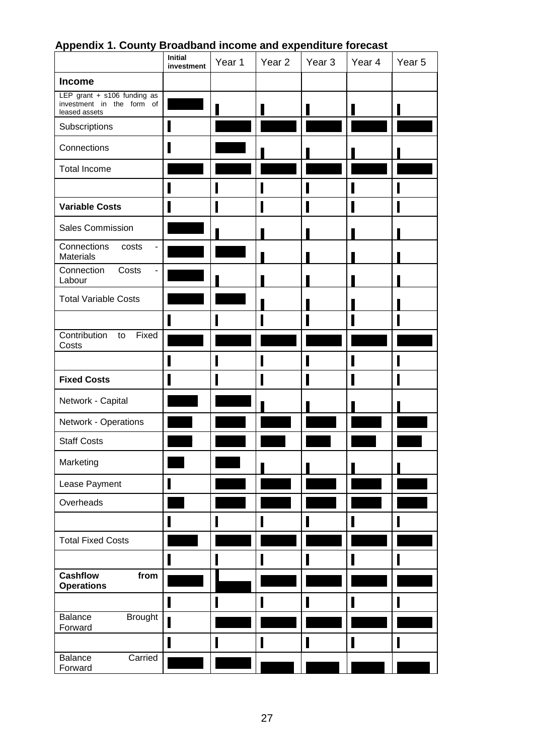|                                                                           | Initial<br>investment | Year 1 | Year 2 | Year <sub>3</sub> | Year 4 | Year 5 |
|---------------------------------------------------------------------------|-----------------------|--------|--------|-------------------|--------|--------|
| <b>Income</b>                                                             |                       |        |        |                   |        |        |
| LEP grant + s106 funding as<br>investment in the form of<br>leased assets |                       |        |        |                   |        |        |
| Subscriptions                                                             | I                     |        |        |                   |        |        |
| Connections                                                               |                       |        |        |                   |        |        |
| <b>Total Income</b>                                                       |                       |        |        |                   |        |        |
|                                                                           |                       |        |        |                   |        |        |
| <b>Variable Costs</b>                                                     |                       |        |        |                   |        |        |
| Sales Commission                                                          |                       |        |        |                   |        |        |
| Connections<br>costs<br>۰<br><b>Materials</b>                             |                       |        |        |                   |        |        |
| Connection<br>Costs<br>Labour                                             |                       |        |        |                   |        |        |
| <b>Total Variable Costs</b>                                               |                       |        |        |                   |        |        |
|                                                                           |                       |        |        | Ι                 |        |        |
| Contribution<br>Fixed<br>to<br>Costs                                      |                       |        |        |                   |        |        |
|                                                                           |                       |        |        |                   |        |        |
| <b>Fixed Costs</b>                                                        |                       |        |        | I                 |        |        |
| Network - Capital                                                         |                       |        |        |                   |        |        |
| Network - Operations                                                      |                       |        |        |                   |        |        |
| <b>Staff Costs</b>                                                        |                       |        |        |                   |        |        |
| Marketing                                                                 |                       |        |        |                   |        |        |
| Lease Payment                                                             |                       |        |        |                   |        |        |
| Overheads                                                                 |                       |        |        |                   |        |        |
|                                                                           |                       | П      |        | П                 |        |        |
| <b>Total Fixed Costs</b>                                                  |                       |        |        |                   |        |        |
|                                                                           |                       | П      | Π      |                   |        | I      |
| <b>Cashflow</b><br>from<br><b>Operations</b>                              |                       |        |        |                   |        |        |
|                                                                           |                       |        |        |                   |        |        |
| Balance<br><b>Brought</b><br>Forward                                      | Π                     |        |        |                   |        |        |
|                                                                           |                       |        |        | I                 |        |        |
| Carried<br>Balance<br>Forward                                             |                       |        |        |                   |        |        |

# **Appendix 1. County Broadband income and expenditure forecast**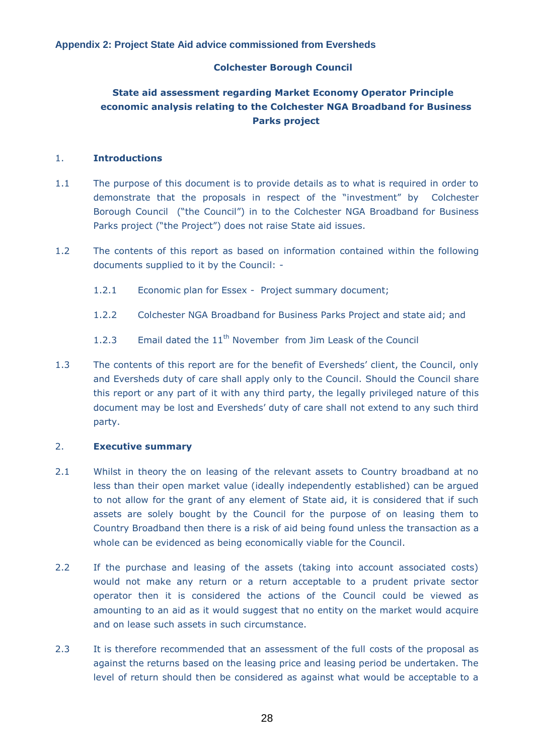### **Colchester Borough Council**

# **State aid assessment regarding Market Economy Operator Principle economic analysis relating to the Colchester NGA Broadband for Business Parks project**

#### 1. **Introductions**

- 1.1 The purpose of this document is to provide details as to what is required in order to demonstrate that the proposals in respect of the "investment" by Colchester Borough Council ("the Council") in to the Colchester NGA Broadband for Business Parks project ("the Project") does not raise State aid issues.
- 1.2 The contents of this report as based on information contained within the following documents supplied to it by the Council: -
	- 1.2.1 Economic plan for Essex Project summary document;
	- 1.2.2 Colchester NGA Broadband for Business Parks Project and state aid; and
	- 1.2.3 Email dated the  $11<sup>th</sup>$  November from Jim Leask of the Council
- 1.3 The contents of this report are for the benefit of Eversheds' client, the Council, only and Eversheds duty of care shall apply only to the Council. Should the Council share this report or any part of it with any third party, the legally privileged nature of this document may be lost and Eversheds' duty of care shall not extend to any such third party.

### 2. **Executive summary**

- 2.1 Whilst in theory the on leasing of the relevant assets to Country broadband at no less than their open market value (ideally independently established) can be argued to not allow for the grant of any element of State aid, it is considered that if such assets are solely bought by the Council for the purpose of on leasing them to Country Broadband then there is a risk of aid being found unless the transaction as a whole can be evidenced as being economically viable for the Council.
- 2.2 If the purchase and leasing of the assets (taking into account associated costs) would not make any return or a return acceptable to a prudent private sector operator then it is considered the actions of the Council could be viewed as amounting to an aid as it would suggest that no entity on the market would acquire and on lease such assets in such circumstance.
- 2.3 It is therefore recommended that an assessment of the full costs of the proposal as against the returns based on the leasing price and leasing period be undertaken. The level of return should then be considered as against what would be acceptable to a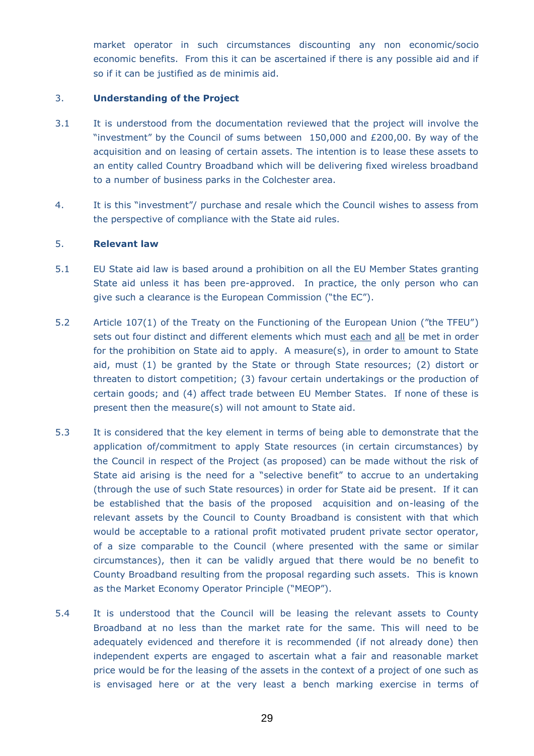market operator in such circumstances discounting any non economic/socio economic benefits. From this it can be ascertained if there is any possible aid and if so if it can be justified as de minimis aid.

#### 3. **Understanding of the Project**

- 3.1 It is understood from the documentation reviewed that the project will involve the "investment" by the Council of sums between 150,000 and £200,00. By way of the acquisition and on leasing of certain assets. The intention is to lease these assets to an entity called Country Broadband which will be delivering fixed wireless broadband to a number of business parks in the Colchester area.
- 4. It is this "investment"/ purchase and resale which the Council wishes to assess from the perspective of compliance with the State aid rules.

#### 5. **Relevant law**

- 5.1 EU State aid law is based around a prohibition on all the EU Member States granting State aid unless it has been pre-approved. In practice, the only person who can give such a clearance is the European Commission ("the EC").
- 5.2 Article 107(1) of the Treaty on the Functioning of the European Union ("the TFEU") sets out four distinct and different elements which must each and all be met in order for the prohibition on State aid to apply. A measure(s), in order to amount to State aid, must (1) be granted by the State or through State resources; (2) distort or threaten to distort competition; (3) favour certain undertakings or the production of certain goods; and (4) affect trade between EU Member States. If none of these is present then the measure(s) will not amount to State aid.
- 5.3 It is considered that the key element in terms of being able to demonstrate that the application of/commitment to apply State resources (in certain circumstances) by the Council in respect of the Project (as proposed) can be made without the risk of State aid arising is the need for a "selective benefit" to accrue to an undertaking (through the use of such State resources) in order for State aid be present. If it can be established that the basis of the proposed acquisition and on-leasing of the relevant assets by the Council to County Broadband is consistent with that which would be acceptable to a rational profit motivated prudent private sector operator, of a size comparable to the Council (where presented with the same or similar circumstances), then it can be validly argued that there would be no benefit to County Broadband resulting from the proposal regarding such assets. This is known as the Market Economy Operator Principle ("MEOP").
- 5.4 It is understood that the Council will be leasing the relevant assets to County Broadband at no less than the market rate for the same. This will need to be adequately evidenced and therefore it is recommended (if not already done) then independent experts are engaged to ascertain what a fair and reasonable market price would be for the leasing of the assets in the context of a project of one such as is envisaged here or at the very least a bench marking exercise in terms of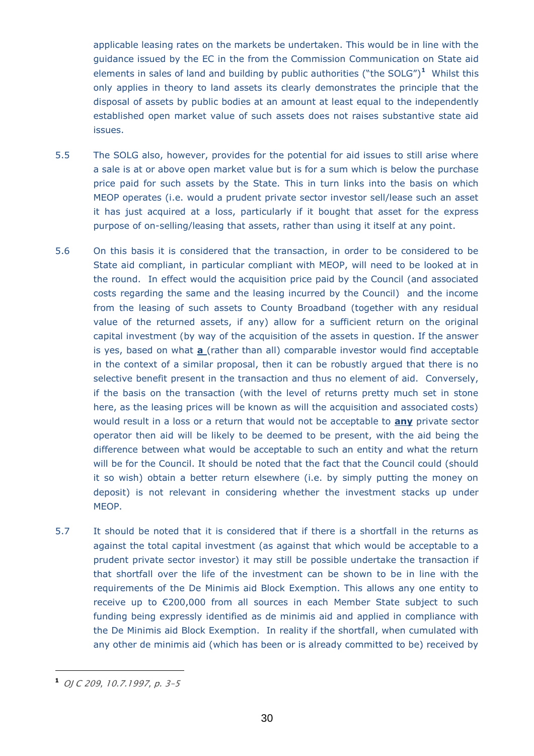applicable leasing rates on the markets be undertaken. This would be in line with the guidance issued by the EC in the from the Commission Communication on State aid elements in sales of land and building by public authorities ("the SOLG")**<sup>1</sup>** Whilst this only applies in theory to land assets its clearly demonstrates the principle that the disposal of assets by public bodies at an amount at least equal to the independently established open market value of such assets does not raises substantive state aid issues.

- 5.5 The SOLG also, however, provides for the potential for aid issues to still arise where a sale is at or above open market value but is for a sum which is below the purchase price paid for such assets by the State. This in turn links into the basis on which MEOP operates (i.e. would a prudent private sector investor sell/lease such an asset it has just acquired at a loss, particularly if it bought that asset for the express purpose of on-selling/leasing that assets, rather than using it itself at any point.
- 5.6 On this basis it is considered that the transaction, in order to be considered to be State aid compliant, in particular compliant with MEOP, will need to be looked at in the round. In effect would the acquisition price paid by the Council (and associated costs regarding the same and the leasing incurred by the Council) and the income from the leasing of such assets to County Broadband (together with any residual value of the returned assets, if any) allow for a sufficient return on the original capital investment (by way of the acquisition of the assets in question. If the answer is yes, based on what **a** (rather than all) comparable investor would find acceptable in the context of a similar proposal, then it can be robustly argued that there is no selective benefit present in the transaction and thus no element of aid. Conversely, if the basis on the transaction (with the level of returns pretty much set in stone here, as the leasing prices will be known as will the acquisition and associated costs) would result in a loss or a return that would not be acceptable to **any** private sector operator then aid will be likely to be deemed to be present, with the aid being the difference between what would be acceptable to such an entity and what the return will be for the Council. It should be noted that the fact that the Council could (should it so wish) obtain a better return elsewhere (i.e. by simply putting the money on deposit) is not relevant in considering whether the investment stacks up under MEOP.
- 5.7 It should be noted that it is considered that if there is a shortfall in the returns as against the total capital investment (as against that which would be acceptable to a prudent private sector investor) it may still be possible undertake the transaction if that shortfall over the life of the investment can be shown to be in line with the requirements of the De Minimis aid Block Exemption. This allows any one entity to receive up to €200,000 from all sources in each Member State subject to such funding being expressly identified as de minimis aid and applied in compliance with the De Minimis aid Block Exemption. In reality if the shortfall, when cumulated with any other de minimis aid (which has been or is already committed to be) received by

 $\overline{a}$ 

**<sup>1</sup>** OJ C 209, 10.7.1997, p. 3–5